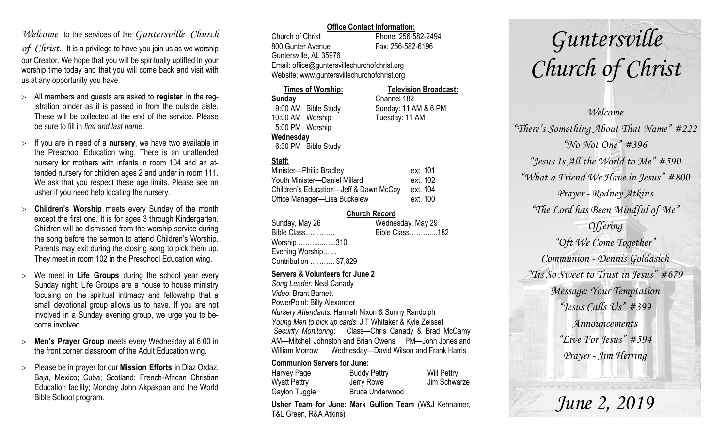# *Welcome* to the services of the *Guntersville Church*

*of Christ*. It is a privilege to have you join us as we worship our Creator. We hope that you will be spiritually uplifted in your worship time today and that you will come back and visit with us at any opportunity you have.

- All members and guests are asked to **register** in the registration binder as it is passed in from the outside aisle. These will be collected at the end of the service. Please be sure to fill in *first and last name*.
- $>$  If you are in need of a **nursery**, we have two available in the Preschool Education wing. There is an unattended nursery for mothers with infants in room 104 and an attended nursery for children ages 2 and under in room 111. We ask that you respect these age limits. Please see an usher if you need help locating the nursery.
- **Children's Worship** meets every Sunday of the month except the first one. It is for ages 3 through Kindergarten. Children will be dismissed from the worship service during the song before the sermon to attend Children's Worship. Parents may exit during the closing song to pick them up. They meet in room 102 in the Preschool Education wing.
- We meet in **Life Groups** during the school year every Sunday night. Life Groups are a house to house ministry focusing on the spiritual intimacy and fellowship that a small devotional group allows us to have. If you are not involved in a Sunday evening group, we urge you to become involved.
- **Men's Prayer Group** meets every Wednesday at 6:00 in the front corner classroom of the Adult Education wing.
- Please be in prayer for our **Mission Efforts** in Diaz Ordaz, Baja, Mexico; Cuba; Scotland: French-African Christian Education facility; Monday John Akpakpan and the World Bible School program.

### **Office Contact Information:**

Church of Christ Phone: 256-582-2494 800 Gunter Avenue Fax: 256-582-6196 Guntersville, AL 35976 Email: office@guntersvillechurchofchrist.org Website: www.guntersvillechurchofchrist.org

#### **Times of Worship: Television Broadcast: Sunday** Channel 182 9:00 AM Bible Study Sunday: 11 AM & 6 PM 10:00 AM Worship Tuesday: 11 AM 5:00 PM Worship **Wednesday** 6:30 PM Bible Study

# **Staff:**

| Minister-Philip Bradley                | ext. 101 |
|----------------------------------------|----------|
| Youth Minister-Daniel Millard          | ext. 102 |
| Children's Education-Jeff & Dawn McCoy | ext. 104 |
| Office Manager-Lisa Buckelew           | ext. 100 |

### **Church Record**

| Sunday, May 26        | Wednesday, May 29 |
|-----------------------|-------------------|
| Bible Class           | Bible Class182    |
| Worship 310           |                   |
| Evening Worship       |                   |
| Contribution  \$7,829 |                   |
|                       |                   |

#### **Servers & Volunteers for June 2**

*Song Leader:* Neal Canady *Video*: Brant Barnett PowerPoint: Billy Alexander *Nursery Attendants:* Hannah Nixon & Sunny Randolph *Young Men to pick up cards*: J T Whitaker & Kyle Zeisset *Security Monitoring*: Class—Chris Canady & Brad McCamy AM—Mitchell Johnston and Brian Owens PM—John Jones and William Morrow Wednesday—David Wilson and Frank Harris

### **Communion Servers for June:**

| Harvey Page         | <b>Buddy Pettry</b>    | Will Pettry  |
|---------------------|------------------------|--------------|
| <b>Wyatt Pettry</b> | Jerry Rowe             | Jim Schwarze |
| Gaylon Tuggle       | <b>Bruce Underwood</b> |              |

**Usher Team for June: Mark Gullion Team** (W&J Kennamer, T&L Green, R&A Atkins)

# *Guntersville Church of Christ*

*Welcome "There's Something About That Name" #222 "No Not One" #396 "Jesus Is All the World to Me" #590 "What a Friend We Have in Jesus" #800 Prayer - Rodney Atkins "The Lord has Been Mindful of Me" Offering "Oft We Come Together" Communion - Dennis Goldasich "Tis So Sweet to Trust in Jesus" #679 Message: Your Temptation "Jesus Calls Us" #399 Announcements "Live For Jesus" #594 Prayer - Jim Herring*